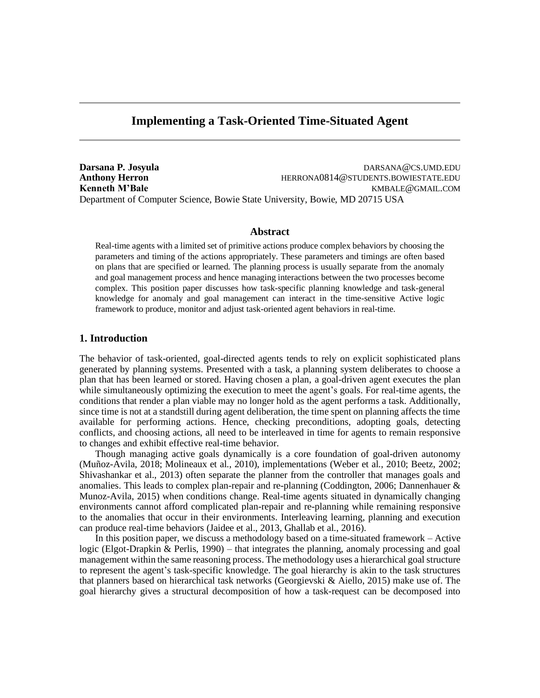# **Implementing a Task-Oriented Time-Situated Agent**

**Darsana P. Josyula** DARSANA@CS.UMD.EDU **Anthony Herron HERRONA0814@STUDENTS.BOWIESTATE.EDU Kenneth M'Bale** KMBALE@GMAIL.COM Department of Computer Science, Bowie State University, Bowie, MD 20715 USA

## **Abstract**

Real-time agents with a limited set of primitive actions produce complex behaviors by choosing the parameters and timing of the actions appropriately. These parameters and timings are often based on plans that are specified or learned. The planning process is usually separate from the anomaly and goal management process and hence managing interactions between the two processes become complex. This position paper discusses how task-specific planning knowledge and task-general knowledge for anomaly and goal management can interact in the time-sensitive Active logic framework to produce, monitor and adjust task-oriented agent behaviors in real-time.

# **1. Introduction**

The behavior of task-oriented, goal-directed agents tends to rely on explicit sophisticated plans generated by planning systems. Presented with a task, a planning system deliberates to choose a plan that has been learned or stored. Having chosen a plan, a goal-driven agent executes the plan while simultaneously optimizing the execution to meet the agent's goals. For real-time agents, the conditions that render a plan viable may no longer hold as the agent performs a task. Additionally, since time is not at a standstill during agent deliberation, the time spent on planning affects the time available for performing actions. Hence, checking preconditions, adopting goals, detecting conflicts, and choosing actions, all need to be interleaved in time for agents to remain responsive to changes and exhibit effective real-time behavior.

Though managing active goals dynamically is a core foundation of goal-driven autonomy (Muñoz-Avila, 2018; Molineaux et al., 2010), implementations (Weber et al., 2010; Beetz, 2002; Shivashankar et al., 2013) often separate the planner from the controller that manages goals and anomalies. This leads to complex plan-repair and re-planning (Coddington, 2006; Dannenhauer  $\&$ Munoz-Avila, 2015) when conditions change. Real-time agents situated in dynamically changing environments cannot afford complicated plan-repair and re-planning while remaining responsive to the anomalies that occur in their environments. Interleaving learning, planning and execution can produce real-time behaviors (Jaidee et al., 2013, Ghallab et al., 2016).

In this position paper, we discuss a methodology based on a time-situated framework  $-$  Active logic (Elgot-Drapkin & Perlis, 1990) – that integrates the planning, anomaly processing and goal management within the same reasoning process. The methodology uses a hierarchical goal structure to represent the agent's task-specific knowledge. The goal hierarchy is akin to the task structures that planners based on hierarchical task networks (Georgievski & Aiello, 2015) make use of. The goal hierarchy gives a structural decomposition of how a task-request can be decomposed into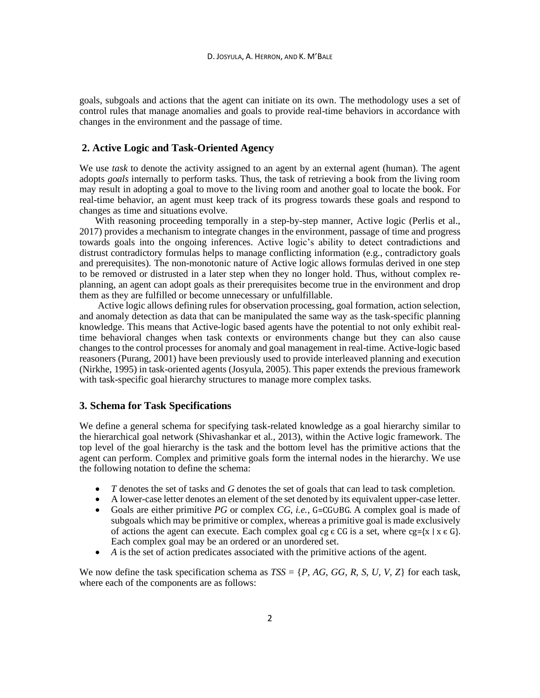goals, subgoals and actions that the agent can initiate on its own. The methodology uses a set of control rules that manage anomalies and goals to provide real-time behaviors in accordance with changes in the environment and the passage of time.

### **2. Active Logic and Task-Oriented Agency**

We use *task* to denote the activity assigned to an agent by an external agent (human). The agent adopts *goals* internally to perform tasks. Thus, the task of retrieving a book from the living room may result in adopting a goal to move to the living room and another goal to locate the book. For real-time behavior, an agent must keep track of its progress towards these goals and respond to changes as time and situations evolve.

With reasoning proceeding temporally in a step-by-step manner, Active logic (Perlis et al., 2017) provides a mechanism to integrate changes in the environment, passage of time and progress towards goals into the ongoing inferences. Active logic's ability to detect contradictions and distrust contradictory formulas helps to manage conflicting information (e.g., contradictory goals and prerequisites). The non-monotonic nature of Active logic allows formulas derived in one step to be removed or distrusted in a later step when they no longer hold. Thus, without complex replanning, an agent can adopt goals as their prerequisites become true in the environment and drop them as they are fulfilled or become unnecessary or unfulfillable.

Active logic allows defining rules for observation processing, goal formation, action selection, and anomaly detection as data that can be manipulated the same way as the task-specific planning knowledge. This means that Active-logic based agents have the potential to not only exhibit realtime behavioral changes when task contexts or environments change but they can also cause changes to the control processes for anomaly and goal management in real-time. Active-logic based reasoners (Purang, 2001) have been previously used to provide interleaved planning and execution (Nirkhe, 1995) in task-oriented agents (Josyula, 2005). This paper extends the previous framework with task-specific goal hierarchy structures to manage more complex tasks.

#### **3. Schema for Task Specifications**

We define a general schema for specifying task-related knowledge as a goal hierarchy similar to the hierarchical goal network (Shivashankar et al., 2013), within the Active logic framework. The top level of the goal hierarchy is the task and the bottom level has the primitive actions that the agent can perform. Complex and primitive goals form the internal nodes in the hierarchy. We use the following notation to define the schema:

- *T* denotes the set of tasks and *G* denotes the set of goals that can lead to task completion.
- A lower-case letter denotes an element of the set denoted by its equivalent upper-case letter.
- Goals are either primitive *PG* or complex *CG, i.e.,* G=CG∪BG. A complex goal is made of subgoals which may be primitive or complex, whereas a primitive goal is made exclusively of actions the agent can execute. Each complex goal cg  $\epsilon$  CG is a set, where cg={x | x  $\epsilon$  G}. Each complex goal may be an ordered or an unordered set.
- *A* is the set of action predicates associated with the primitive actions of the agent.

We now define the task specification schema as  $TSS = \{P, AG, GG, R, S, U, V, Z\}$  for each task, where each of the components are as follows: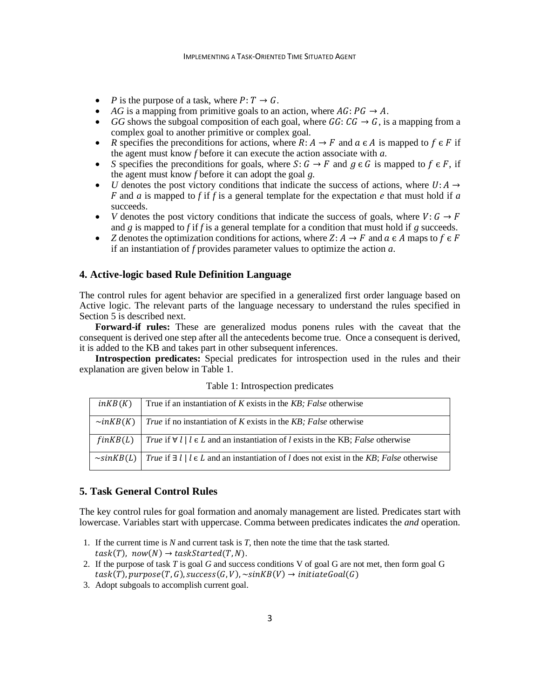- *P* is the purpose of a task, where  $P: T \to G$ .
- *AG* is a mapping from primitive goals to an action, where  $AG: PG \rightarrow A$ .
- *GG* shows the subgoal composition of each goal, where  $GG: CG \rightarrow G$ , is a mapping from a complex goal to another primitive or complex goal.
- *R* specifies the preconditions for actions, where  $R: A \rightarrow F$  and  $a \in A$  is mapped to  $f \in F$  if the agent must know *f* before it can execute the action associate with *a*.
- *S* specifies the preconditions for goals, where  $S: G \to F$  and  $g \in G$  is mapped to  $f \in F$ , if the agent must know *f* before it can adopt the goal *g*.
- *U* denotes the post victory conditions that indicate the success of actions, where  $U: A \rightarrow$ F and *a* is mapped to f if f is a general template for the expectation  $e$  that must hold if  $a$ succeeds.
- *V* denotes the post victory conditions that indicate the success of goals, where  $V: G \rightarrow F$ and *g* is mapped to *f* if *f* is a general template for a condition that must hold if *g* succeeds.
- *Z* denotes the optimization conditions for actions, where  $Z: A \to F$  and  $a \in A$  maps to  $f \in F$ if an instantiation of *f* provides parameter values to optimize the action *a*.

#### **4. Active-logic based Rule Definition Language**

The control rules for agent behavior are specified in a generalized first order language based on Active logic. The relevant parts of the language necessary to understand the rules specified in Section 5 is described next.

**Forward-if rules:** These are generalized modus ponens rules with the caveat that the consequent is derived one step after all the antecedents become true. Once a consequent is derived, it is added to the KB and takes part in other subsequent inferences.

**Introspection predicates:** Special predicates for introspection used in the rules and their explanation are given below in Table 1.

| inKB(K)               | True if an instantiation of $K$ exists in the $KB$ ; False otherwise                                                   |
|-----------------------|------------------------------------------------------------------------------------------------------------------------|
| $\sim$ inKB(K)        | <i>True</i> if no instantiation of <i>K</i> exists in the <i>KB</i> ; <i>False</i> otherwise                           |
| $f$ <i>in</i> $KB(L)$ | <i>True</i> if $\forall l \mid l \in L$ and an instantiation of l exists in the KB; <i>False</i> otherwise             |
|                       | $\sim$ sinKB(L)   True if $\exists l \mid l \in L$ and an instantiation of l does not exist in the KB; False otherwise |

Table 1: Introspection predicates

# **5. Task General Control Rules**

The key control rules for goal formation and anomaly management are listed. Predicates start with lowercase. Variables start with uppercase. Comma between predicates indicates the *and* operation.

- 1. If the current time is *N* and current task is *T*, then note the time that the task started.  $task(T), now(N) \rightarrow taskStarted(T, N).$
- 2. If the purpose of task *T* is goal *G* and success conditions V of goal G are not met, then form goal G  $task(T), purpose(T, G), success(G, V), \sim sink(B(V) \rightarrow initiateGoal(G)$
- 3. Adopt subgoals to accomplish current goal.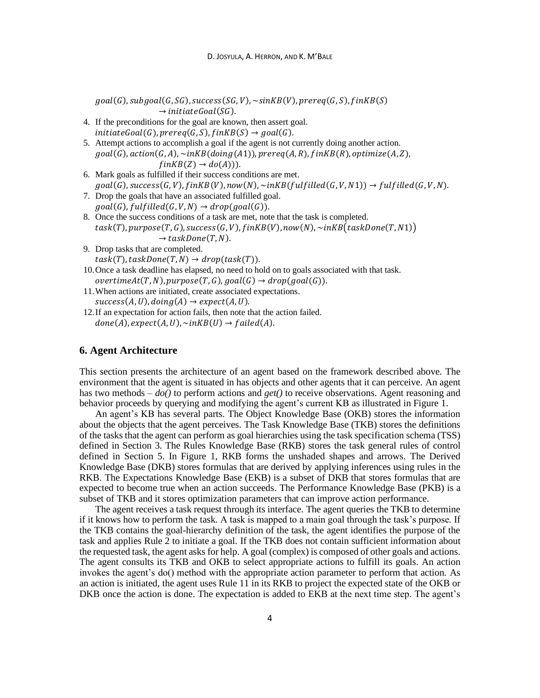$goal(G), subgoal(G,SG), success(SG, V), \sim sinkB(V), prereq(G, S), finkB(S)$  $\rightarrow$  initiateGoal(SG). 4. If the preconditions for the goal are known, then assert goal.  $initiateGoal(G), prereq(G, S), f in KB(S) \rightarrow goal(G).$ 5. Attempt actions to accomplish a goal if the agent is not currently doing another action.  $goal(G)$ ,  $action(G, A)$ ,  $\nightharpoonup$   $inkB( doing (A1))$ ,  $prereq(A, R)$ ,  $finkB(R)$ ,  $optimize(A, Z)$ ,  $finKB(Z) \rightarrow do(A))$ ). 6. Mark goals as fulfilled if their success conditions are met.  $goal(G)$ , success $(G, V)$ ,  $finkB(V)$ , now $(N)$ , ~in $KB(fulfilled(G, V, N))$   $\rightarrow fullfilled(G, V, N)$ . 7. Drop the goals that have an associated fulfilled goal.  $goal(G), fullfilled(G, V, N) \rightarrow drop(goal(G)).$ 8. Once the success conditions of a task are met, note that the task is completed.  $task(T), purpose(T, G), success(G, V), fins(W), now(N), ~inkB (taskDone(T, N1))$  $\rightarrow$  taskDone(T, N). 9. Drop tasks that are completed.  $task(T), taskDone(T, N) \rightarrow drop(task(T)).$ 10.Once a task deadline has elapsed, no need to hold on to goals associated with that task.  $overtimeAt(T, N), purpose(T, G), goal(G) \rightarrow drop(goal(G)).$ 11.When actions are initiated, create associated expectations.  $success(A, U), doing(A) \rightarrow expect(A, U).$ 12.If an expectation for action fails, then note that the action failed.  $done(A), expect(A, U), \sim inKB(U) \rightarrow failed(A).$ 

## **6. Agent Architecture**

This section presents the architecture of an agent based on the framework described above. The environment that the agent is situated in has objects and other agents that it can perceive. An agent has two methods – *do()* to perform actions and *get()* to receive observations. Agent reasoning and behavior proceeds by querying and modifying the agent's current KB as illustrated in Figure 1.

An agent's KB has several parts. The Object Knowledge Base (OKB) stores the information about the objects that the agent perceives. The Task Knowledge Base (TKB) stores the definitions of the tasks that the agent can perform as goal hierarchies using the task specification schema (TSS) defined in Section 3. The Rules Knowledge Base (RKB) stores the task general rules of control defined in Section 5. In Figure 1, RKB forms the unshaded shapes and arrows. The Derived Knowledge Base (DKB) stores formulas that are derived by applying inferences using rules in the RKB. The Expectations Knowledge Base (EKB) is a subset of DKB that stores formulas that are expected to become true when an action succeeds. The Performance Knowledge Base (PKB) is a subset of TKB and it stores optimization parameters that can improve action performance.

The agent receives a task request through its interface. The agent queries the TKB to determine if it knows how to perform the task. A task is mapped to a main goal through the task's purpose. If the TKB contains the goal-hierarchy definition of the task, the agent identifies the purpose of the task and applies Rule 2 to initiate a goal. If the TKB does not contain sufficient information about the requested task, the agent asks for help. A goal (complex) is composed of other goals and actions. The agent consults its TKB and OKB to select appropriate actions to fulfill its goals. An action invokes the agent's do() method with the appropriate action parameter to perform that action. As an action is initiated, the agent uses Rule 11 in its RKB to project the expected state of the OKB or DKB once the action is done. The expectation is added to EKB at the next time step. The agent's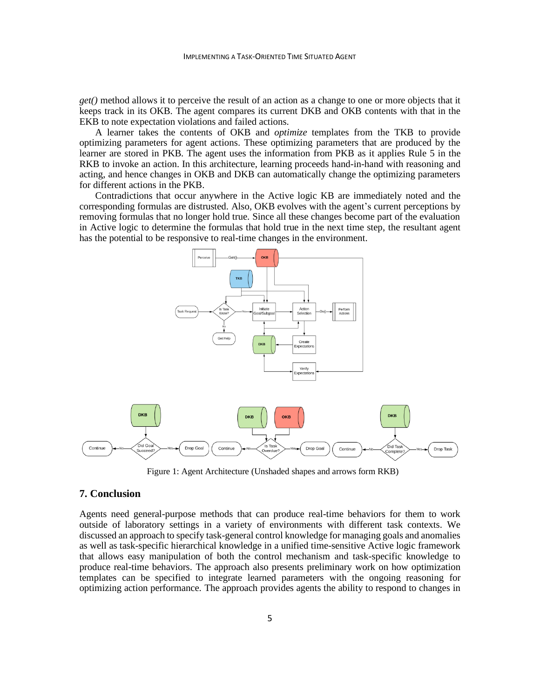*get()* method allows it to perceive the result of an action as a change to one or more objects that it keeps track in its OKB. The agent compares its current DKB and OKB contents with that in the EKB to note expectation violations and failed actions.

A learner takes the contents of OKB and *optimize* templates from the TKB to provide optimizing parameters for agent actions. These optimizing parameters that are produced by the learner are stored in PKB. The agent uses the information from PKB as it applies Rule 5 in the RKB to invoke an action. In this architecture, learning proceeds hand-in-hand with reasoning and acting, and hence changes in OKB and DKB can automatically change the optimizing parameters for different actions in the PKB.

Contradictions that occur anywhere in the Active logic KB are immediately noted and the corresponding formulas are distrusted. Also, OKB evolves with the agent's current perceptions by removing formulas that no longer hold true. Since all these changes become part of the evaluation in Active logic to determine the formulas that hold true in the next time step, the resultant agent has the potential to be responsive to real-time changes in the environment.



Figure 1: Agent Architecture (Unshaded shapes and arrows form RKB)

# **7. Conclusion**

Agents need general-purpose methods that can produce real-time behaviors for them to work outside of laboratory settings in a variety of environments with different task contexts. We discussed an approach to specify task-general control knowledge for managing goals and anomalies as well as task-specific hierarchical knowledge in a unified time-sensitive Active logic framework that allows easy manipulation of both the control mechanism and task-specific knowledge to produce real-time behaviors. The approach also presents preliminary work on how optimization templates can be specified to integrate learned parameters with the ongoing reasoning for optimizing action performance. The approach provides agents the ability to respond to changes in